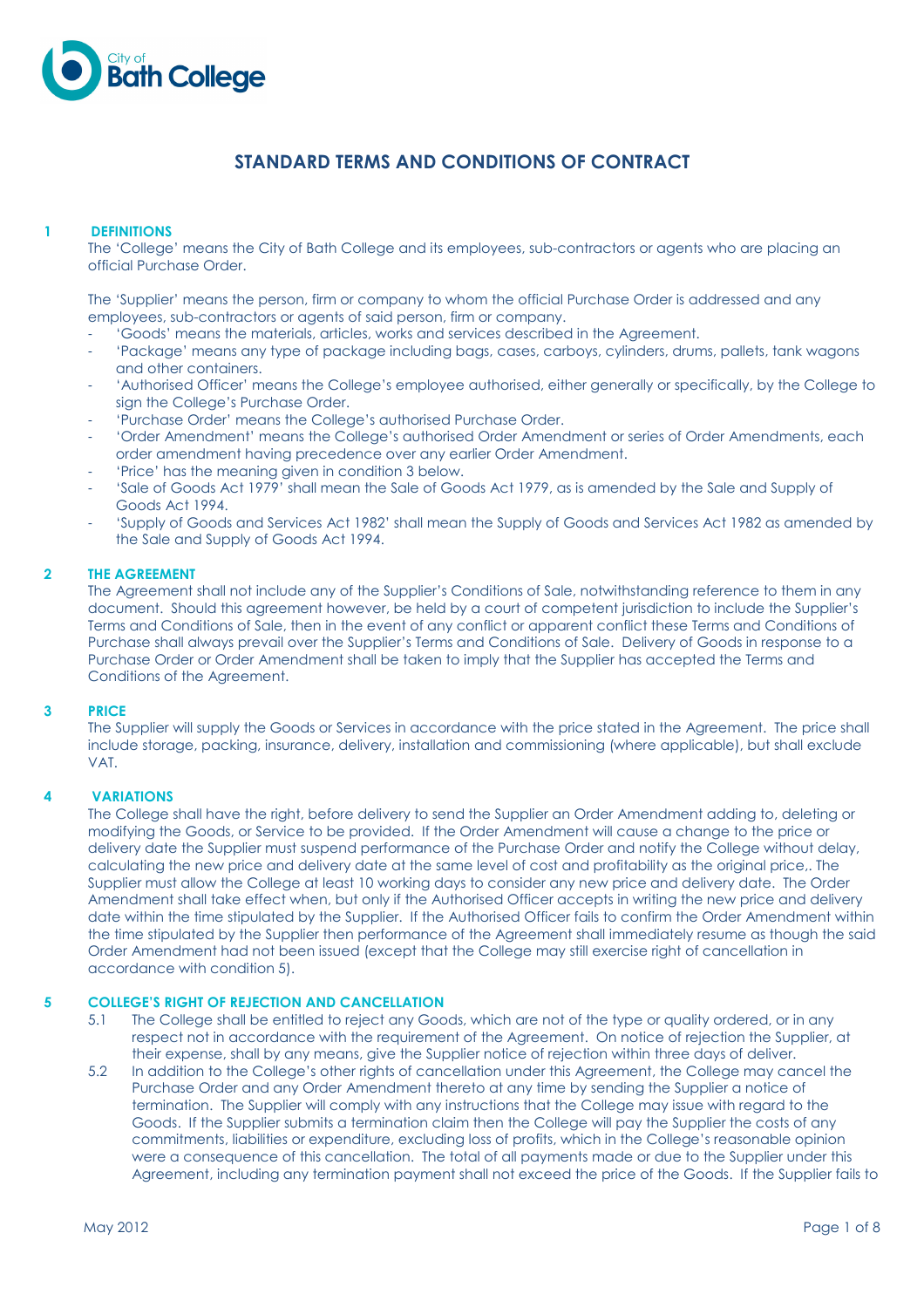

# STANDARD TERMS AND CONDITIONS OF CONTRACT

# 1 DEFINITIONS

 The 'College' means the City of Bath College and its employees, sub-contractors or agents who are placing an official Purchase Order.

The 'Supplier' means the person, firm or company to whom the official Purchase Order is addressed and any employees, sub-contractors or agents of said person, firm or company.

- 'Goods' means the materials, articles, works and services described in the Agreement.
- 'Package' means any type of package including bags, cases, carboys, cylinders, drums, pallets, tank wagons and other containers.
- 'Authorised Officer' means the College's employee authorised, either generally or specifically, by the College to sign the College's Purchase Order.
- 'Purchase Order' means the College's authorised Purchase Order.
- 'Order Amendment' means the College's authorised Order Amendment or series of Order Amendments, each order amendment having precedence over any earlier Order Amendment.
- 'Price' has the meaning given in condition 3 below.
- 'Sale of Goods Act 1979' shall mean the Sale of Goods Act 1979, as is amended by the Sale and Supply of Goods Act 1994.
- 'Supply of Goods and Services Act 1982' shall mean the Supply of Goods and Services Act 1982 as amended by the Sale and Supply of Goods Act 1994.

# 2 THE AGREEMENT

The Agreement shall not include any of the Supplier's Conditions of Sale, notwithstanding reference to them in any document. Should this agreement however, be held by a court of competent jurisdiction to include the Supplier's Terms and Conditions of Sale, then in the event of any conflict or apparent conflict these Terms and Conditions of Purchase shall always prevail over the Supplier's Terms and Conditions of Sale. Delivery of Goods in response to a Purchase Order or Order Amendment shall be taken to imply that the Supplier has accepted the Terms and Conditions of the Agreement.

#### 3 PRICE

The Supplier will supply the Goods or Services in accordance with the price stated in the Agreement. The price shall include storage, packing, insurance, delivery, installation and commissioning (where applicable), but shall exclude VAT.

# 4 VARIATIONS

The College shall have the right, before delivery to send the Supplier an Order Amendment adding to, deleting or modifying the Goods, or Service to be provided. If the Order Amendment will cause a change to the price or delivery date the Supplier must suspend performance of the Purchase Order and notify the College without delay, calculating the new price and delivery date at the same level of cost and profitability as the original price,. The Supplier must allow the College at least 10 working days to consider any new price and delivery date. The Order Amendment shall take effect when, but only if the Authorised Officer accepts in writing the new price and delivery date within the time stipulated by the Supplier. If the Authorised Officer fails to confirm the Order Amendment within the time stipulated by the Supplier then performance of the Agreement shall immediately resume as though the said Order Amendment had not been issued (except that the College may still exercise right of cancellation in accordance with condition 5).

# 5 COLLEGE'S RIGHT OF REJECTION AND CANCELLATION

- 5.1 The College shall be entitled to reject any Goods, which are not of the type or quality ordered, or in any respect not in accordance with the requirement of the Agreement. On notice of rejection the Supplier, at their expense, shall by any means, give the Supplier notice of rejection within three days of deliver.
- 5.2 In addition to the College's other rights of cancellation under this Agreement, the College may cancel the Purchase Order and any Order Amendment thereto at any time by sending the Supplier a notice of termination. The Supplier will comply with any instructions that the College may issue with regard to the Goods. If the Supplier submits a termination claim then the College will pay the Supplier the costs of any commitments, liabilities or expenditure, excluding loss of profits, which in the College's reasonable opinion were a consequence of this cancellation. The total of all payments made or due to the Supplier under this Agreement, including any termination payment shall not exceed the price of the Goods. If the Supplier fails to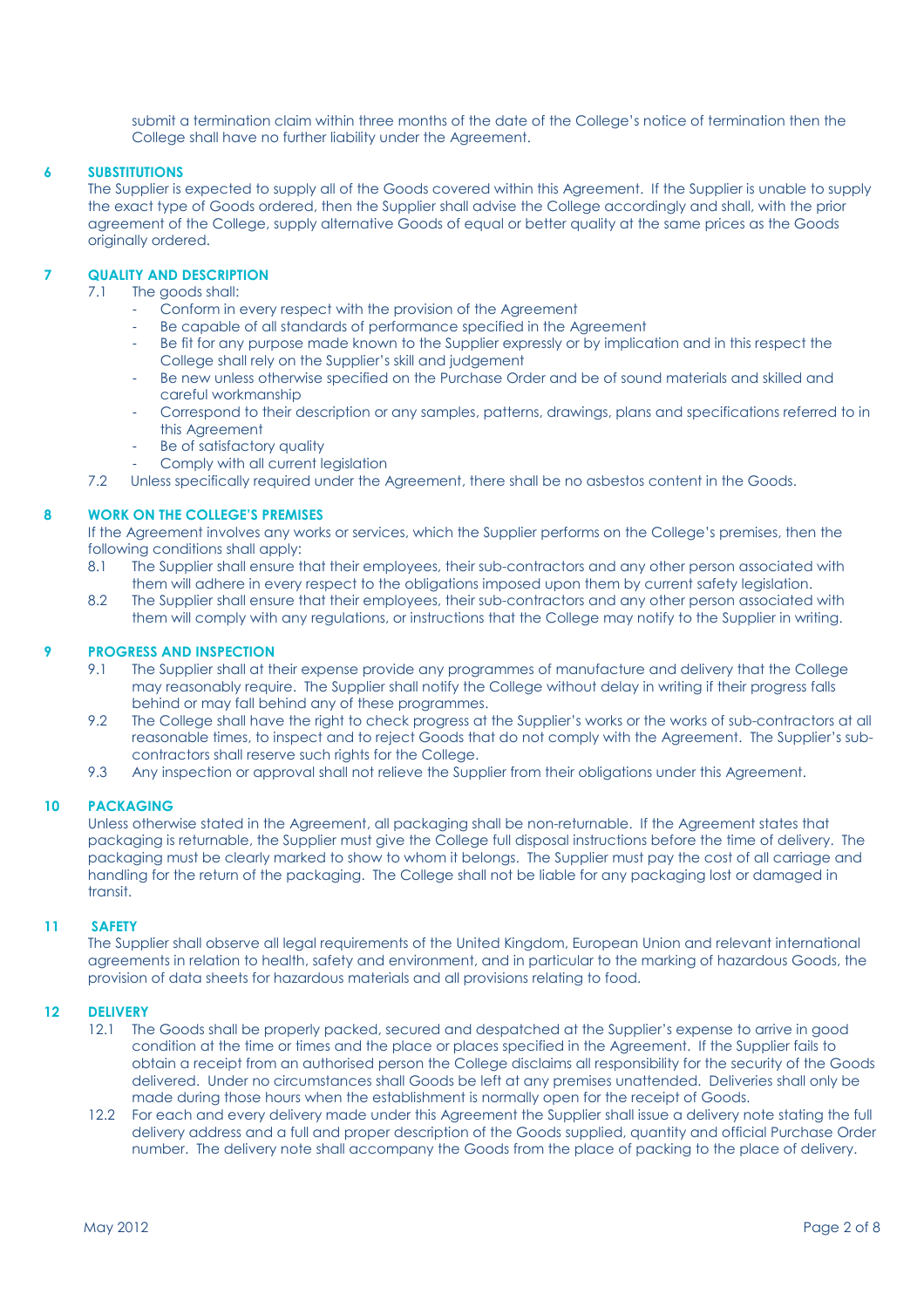submit a termination claim within three months of the date of the College's notice of termination then the College shall have no further liability under the Agreement.

# 6 SUBSTITUTIONS

The Supplier is expected to supply all of the Goods covered within this Agreement. If the Supplier is unable to supply the exact type of Goods ordered, then the Supplier shall advise the College accordingly and shall, with the prior agreement of the College, supply alternative Goods of equal or better quality at the same prices as the Goods originally ordered.

# 7 QUALITY AND DESCRIPTION

- 7.1 The goods shall:
	- Conform in every respect with the provision of the Agreement
	- Be capable of all standards of performance specified in the Agreement
	- Be fit for any purpose made known to the Supplier expressly or by implication and in this respect the College shall rely on the Supplier's skill and judgement
	- Be new unless otherwise specified on the Purchase Order and be of sound materials and skilled and careful workmanship
	- Correspond to their description or any samples, patterns, drawings, plans and specifications referred to in this Agreement
	- Be of satisfactory quality
	- Comply with all current leaislation
- 7.2 Unless specifically required under the Agreement, there shall be no asbestos content in the Goods.

# 8 WORK ON THE COLLEGE'S PREMISES

 If the Agreement involves any works or services, which the Supplier performs on the College's premises, then the following conditions shall apply:

- 8.1 The Supplier shall ensure that their employees, their sub-contractors and any other person associated with them will adhere in every respect to the obligations imposed upon them by current safety legislation.
- 8.2 The Supplier shall ensure that their employees, their sub-contractors and any other person associated with them will comply with any regulations, or instructions that the College may notify to the Supplier in writing.

# 9 PROGRESS AND INSPECTION

- 9.1 The Supplier shall at their expense provide any programmes of manufacture and delivery that the College may reasonably require. The Supplier shall notify the College without delay in writing if their progress falls behind or may fall behind any of these programmes.
- 9.2 The College shall have the right to check progress at the Supplier's works or the works of sub-contractors at all reasonable times, to inspect and to reject Goods that do not comply with the Agreement. The Supplier's subcontractors shall reserve such rights for the College.
- 9.3 Any inspection or approval shall not relieve the Supplier from their obligations under this Agreement.

# 10 PACKAGING

 Unless otherwise stated in the Agreement, all packaging shall be non-returnable. If the Agreement states that packaging is returnable, the Supplier must give the College full disposal instructions before the time of delivery. The packaging must be clearly marked to show to whom it belongs. The Supplier must pay the cost of all carriage and handling for the return of the packaging. The College shall not be liable for any packaging lost or damaged in transit.

# 11 SAFETY

 The Supplier shall observe all legal requirements of the United Kingdom, European Union and relevant international agreements in relation to health, safety and environment, and in particular to the marking of hazardous Goods, the provision of data sheets for hazardous materials and all provisions relating to food.

### 12 DELIVERY

- 12.1 The Goods shall be properly packed, secured and despatched at the Supplier's expense to arrive in good condition at the time or times and the place or places specified in the Agreement. If the Supplier fails to obtain a receipt from an authorised person the College disclaims all responsibility for the security of the Goods delivered. Under no circumstances shall Goods be left at any premises unattended. Deliveries shall only be made during those hours when the establishment is normally open for the receipt of Goods.
- 12.2 For each and every delivery made under this Agreement the Supplier shall issue a delivery note stating the full delivery address and a full and proper description of the Goods supplied, quantity and official Purchase Order number. The delivery note shall accompany the Goods from the place of packing to the place of delivery.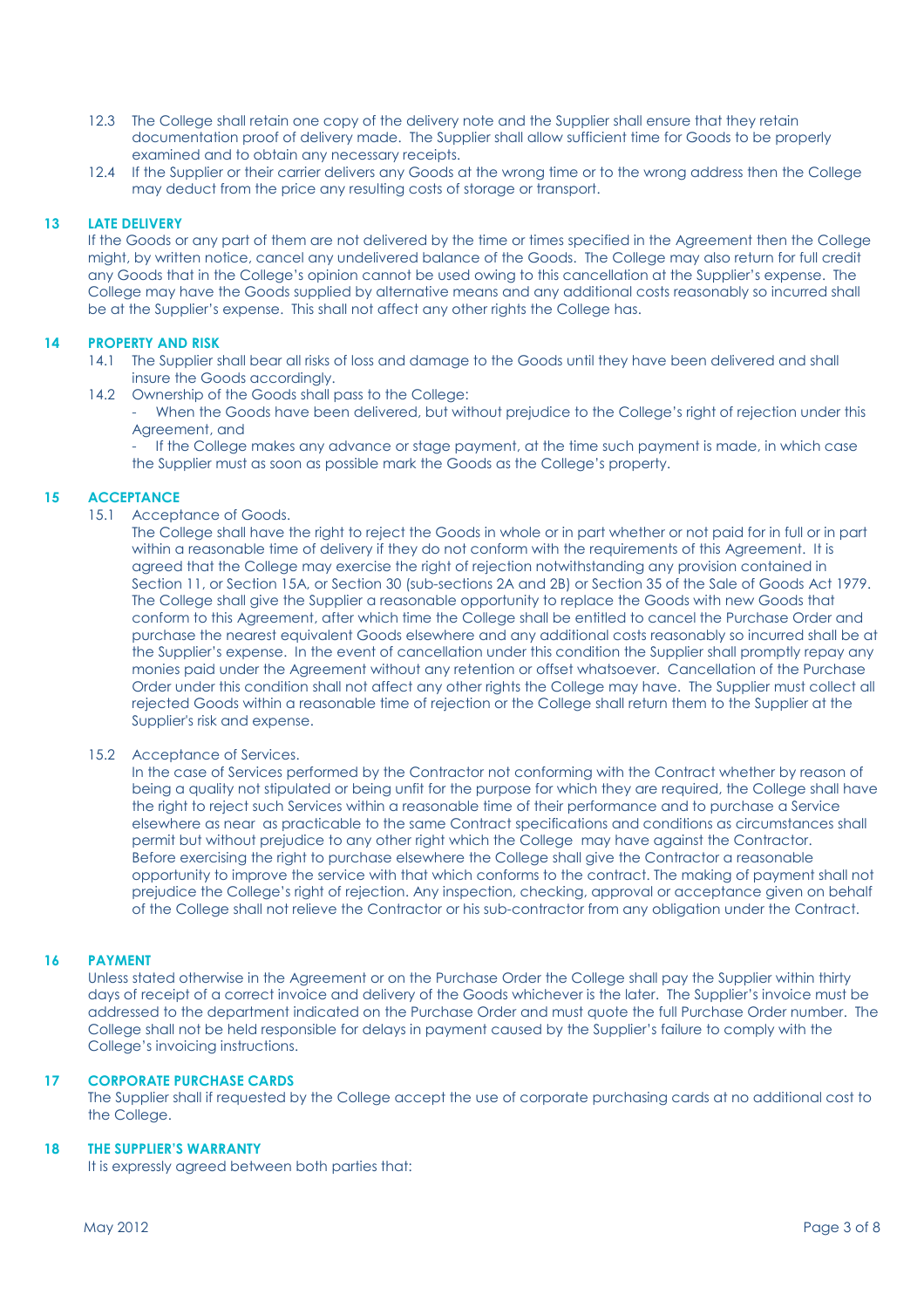- 12.3 The College shall retain one copy of the delivery note and the Supplier shall ensure that they retain documentation proof of delivery made. The Supplier shall allow sufficient time for Goods to be properly examined and to obtain any necessary receipts.
- 12.4 If the Supplier or their carrier delivers any Goods at the wrong time or to the wrong address then the College may deduct from the price any resulting costs of storage or transport.

### 13 LATE DELIVERY

 If the Goods or any part of them are not delivered by the time or times specified in the Agreement then the College might, by written notice, cancel any undelivered balance of the Goods. The College may also return for full credit any Goods that in the College's opinion cannot be used owing to this cancellation at the Supplier's expense. The College may have the Goods supplied by alternative means and any additional costs reasonably so incurred shall be at the Supplier's expense. This shall not affect any other rights the College has.

### 14 PROPERTY AND RISK

- 14.1 The Supplier shall bear all risks of loss and damage to the Goods until they have been delivered and shall insure the Goods accordingly.
- 14.2 Ownership of the Goods shall pass to the College:
	- When the Goods have been delivered, but without prejudice to the College's right of rejection under this Agreement, and

If the College makes any advance or stage payment, at the time such payment is made, in which case the Supplier must as soon as possible mark the Goods as the College's property.

### 15 ACCEPTANCE

15.1 Acceptance of Goods.

The College shall have the right to reject the Goods in whole or in part whether or not paid for in full or in part within a reasonable time of delivery if they do not conform with the requirements of this Agreement. It is agreed that the College may exercise the right of rejection notwithstanding any provision contained in Section 11, or Section 15A, or Section 30 (sub-sections 2A and 2B) or Section 35 of the Sale of Goods Act 1979. The College shall give the Supplier a reasonable opportunity to replace the Goods with new Goods that conform to this Agreement, after which time the College shall be entitled to cancel the Purchase Order and purchase the nearest equivalent Goods elsewhere and any additional costs reasonably so incurred shall be at the Supplier's expense. In the event of cancellation under this condition the Supplier shall promptly repay any monies paid under the Agreement without any retention or offset whatsoever. Cancellation of the Purchase Order under this condition shall not affect any other rights the College may have. The Supplier must collect all rejected Goods within a reasonable time of rejection or the College shall return them to the Supplier at the Supplier's risk and expense.

#### 15.2 Acceptance of Services.

 In the case of Services performed by the Contractor not conforming with the Contract whether by reason of being a quality not stipulated or being unfit for the purpose for which they are required, the College shall have the right to reject such Services within a reasonable time of their performance and to purchase a Service elsewhere as near as practicable to the same Contract specifications and conditions as circumstances shall permit but without prejudice to any other right which the College may have against the Contractor. Before exercising the right to purchase elsewhere the College shall give the Contractor a reasonable opportunity to improve the service with that which conforms to the contract. The making of payment shall not prejudice the College's right of rejection. Any inspection, checking, approval or acceptance given on behalf of the College shall not relieve the Contractor or his sub-contractor from any obligation under the Contract.

# 16 PAYMENT

 Unless stated otherwise in the Agreement or on the Purchase Order the College shall pay the Supplier within thirty days of receipt of a correct invoice and delivery of the Goods whichever is the later. The Supplier's invoice must be addressed to the department indicated on the Purchase Order and must quote the full Purchase Order number. The College shall not be held responsible for delays in payment caused by the Supplier's failure to comply with the College's invoicing instructions.

### 17 CORPORATE PURCHASE CARDS

 The Supplier shall if requested by the College accept the use of corporate purchasing cards at no additional cost to the College.

#### 18 THE SUPPLIER'S WARRANTY

It is expressly agreed between both parties that: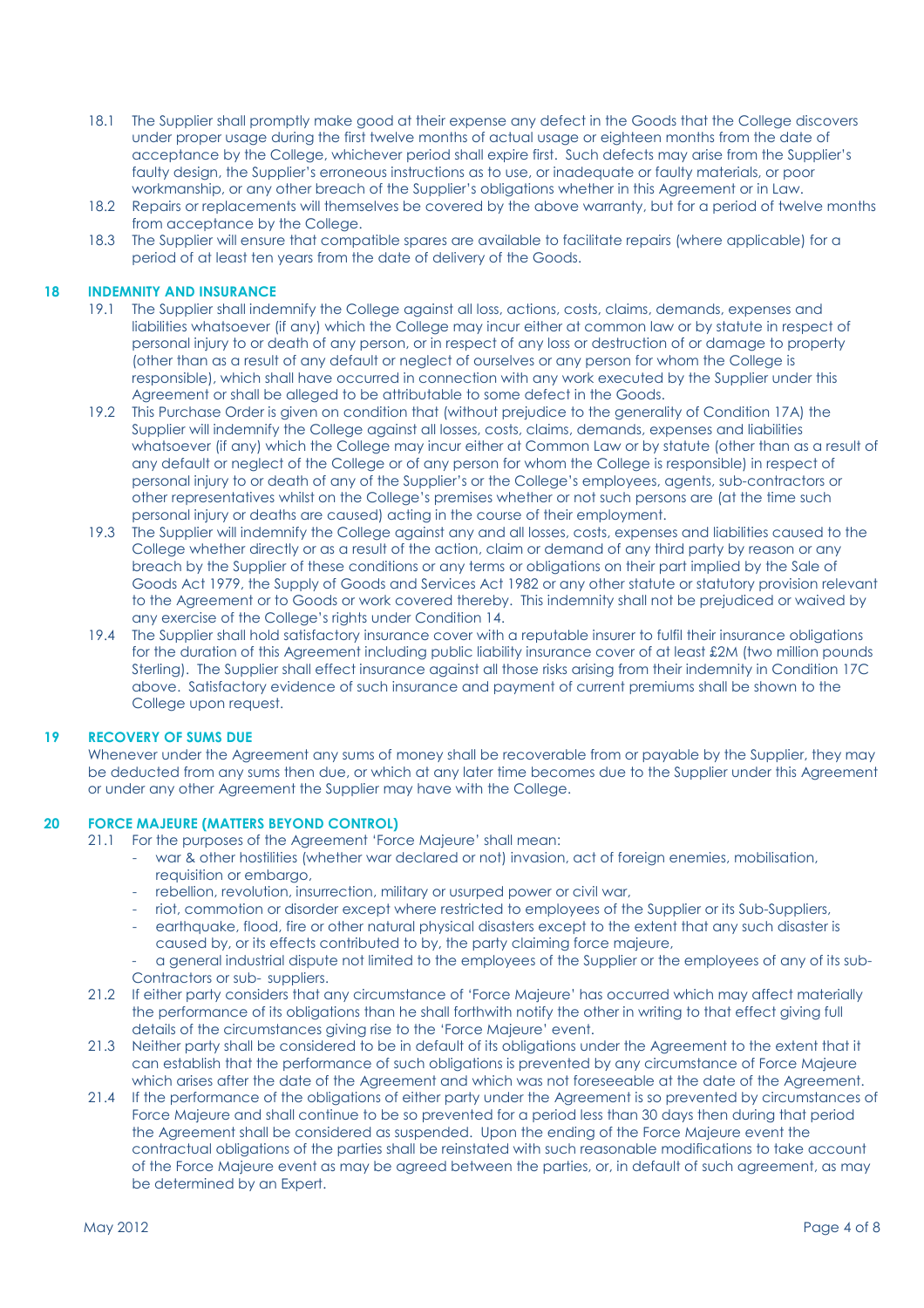- 18.1 The Supplier shall promptly make good at their expense any defect in the Goods that the College discovers under proper usage during the first twelve months of actual usage or eighteen months from the date of acceptance by the College, whichever period shall expire first. Such defects may arise from the Supplier's faulty design, the Supplier's erroneous instructions as to use, or inadequate or faulty materials, or poor workmanship, or any other breach of the Supplier's obligations whether in this Agreement or in Law.
- 18.2 Repairs or replacements will themselves be covered by the above warranty, but for a period of twelve months from acceptance by the College.
- 18.3 The Supplier will ensure that compatible spares are available to facilitate repairs (where applicable) for a period of at least ten years from the date of delivery of the Goods.

### 18 INDEMNITY AND INSURANCE

- 19.1 The Supplier shall indemnify the College against all loss, actions, costs, claims, demands, expenses and liabilities whatsoever (if any) which the College may incur either at common law or by statute in respect of personal injury to or death of any person, or in respect of any loss or destruction of or damage to property (other than as a result of any default or neglect of ourselves or any person for whom the College is responsible), which shall have occurred in connection with any work executed by the Supplier under this Agreement or shall be alleged to be attributable to some defect in the Goods.
- 19.2 This Purchase Order is given on condition that (without prejudice to the generality of Condition 17A) the Supplier will indemnify the College against all losses, costs, claims, demands, expenses and liabilities whatsoever (if any) which the College may incur either at Common Law or by statute (other than as a result of any default or neglect of the College or of any person for whom the College is responsible) in respect of personal injury to or death of any of the Supplier's or the College's employees, agents, sub-contractors or other representatives whilst on the College's premises whether or not such persons are (at the time such personal injury or deaths are caused) acting in the course of their employment.
- 19.3 The Supplier will indemnify the College against any and all losses, costs, expenses and liabilities caused to the College whether directly or as a result of the action, claim or demand of any third party by reason or any breach by the Supplier of these conditions or any terms or obligations on their part implied by the Sale of Goods Act 1979, the Supply of Goods and Services Act 1982 or any other statute or statutory provision relevant to the Agreement or to Goods or work covered thereby. This indemnity shall not be prejudiced or waived by any exercise of the College's rights under Condition 14.
- 19.4 The Supplier shall hold satisfactory insurance cover with a reputable insurer to fulfil their insurance obligations for the duration of this Agreement including public liability insurance cover of at least £2M (two million pounds Sterling). The Supplier shall effect insurance against all those risks arising from their indemnity in Condition 17C above. Satisfactory evidence of such insurance and payment of current premiums shall be shown to the College upon request.

#### 19 RECOVERY OF SUMS DUE

 Whenever under the Agreement any sums of money shall be recoverable from or payable by the Supplier, they may be deducted from any sums then due, or which at any later time becomes due to the Supplier under this Agreement or under any other Agreement the Supplier may have with the College.

### 20 FORCE MAJEURE (MATTERS BEYOND CONTROL)

- 21.1 For the purposes of the Agreement 'Force Majeure' shall mean:
	- war & other hostilities (whether war declared or not) invasion, act of foreign enemies, mobilisation, requisition or embargo,
	- rebellion, revolution, insurrection, military or usurped power or civil war,
	- riot, commotion or disorder except where restricted to employees of the Supplier or its Sub-Suppliers,
	- earthquake, flood, fire or other natural physical disasters except to the extent that any such disaster is caused by, or its effects contributed to by, the party claiming force majeure,
	- a general industrial dispute not limited to the employees of the Supplier or the employees of any of its sub-Contractors or sub- suppliers.
- 21.2 If either party considers that any circumstance of 'Force Majeure' has occurred which may affect materially the performance of its obligations than he shall forthwith notify the other in writing to that effect giving full details of the circumstances giving rise to the 'Force Majeure' event.
- 21.3 Neither party shall be considered to be in default of its obligations under the Agreement to the extent that it can establish that the performance of such obligations is prevented by any circumstance of Force Majeure which arises after the date of the Agreement and which was not foreseeable at the date of the Agreement.
- 21.4 If the performance of the obligations of either party under the Agreement is so prevented by circumstances of Force Majeure and shall continue to be so prevented for a period less than 30 days then during that period the Agreement shall be considered as suspended. Upon the ending of the Force Majeure event the contractual obligations of the parties shall be reinstated with such reasonable modifications to take account of the Force Majeure event as may be agreed between the parties, or, in default of such agreement, as may be determined by an Expert.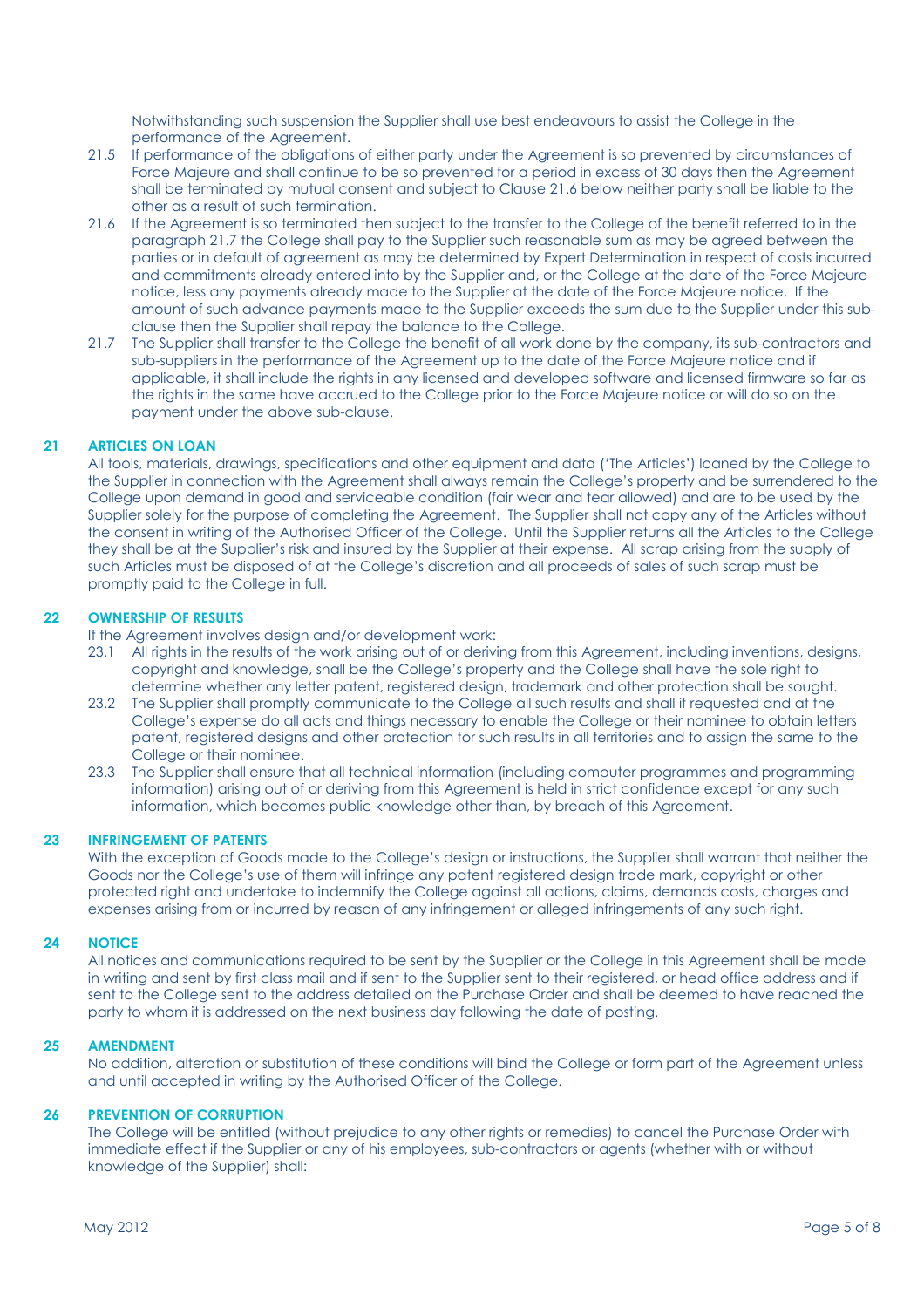Notwithstanding such suspension the Supplier shall use best endeavours to assist the College in the performance of the Agreement.

- 21.5 If performance of the obligations of either party under the Agreement is so prevented by circumstances of Force Majeure and shall continue to be so prevented for a period in excess of 30 days then the Agreement shall be terminated by mutual consent and subject to Clause 21.6 below neither party shall be liable to the other as a result of such termination.
- 21.6 If the Agreement is so terminated then subject to the transfer to the College of the benefit referred to in the paragraph 21.7 the College shall pay to the Supplier such reasonable sum as may be agreed between the parties or in default of agreement as may be determined by Expert Determination in respect of costs incurred and commitments already entered into by the Supplier and, or the College at the date of the Force Majeure notice, less any payments already made to the Supplier at the date of the Force Majeure notice. If the amount of such advance payments made to the Supplier exceeds the sum due to the Supplier under this subclause then the Supplier shall repay the balance to the College.
- 21.7 The Supplier shall transfer to the College the benefit of all work done by the company, its sub-contractors and sub-suppliers in the performance of the Agreement up to the date of the Force Majeure notice and if applicable, it shall include the rights in any licensed and developed software and licensed firmware so far as the rights in the same have accrued to the College prior to the Force Majeure notice or will do so on the payment under the above sub-clause.

# 21 ARTICLES ON LOAN

 All tools, materials, drawings, specifications and other equipment and data ('The Articles') loaned by the College to the Supplier in connection with the Agreement shall always remain the College's property and be surrendered to the College upon demand in good and serviceable condition (fair wear and tear allowed) and are to be used by the Supplier solely for the purpose of completing the Agreement. The Supplier shall not copy any of the Articles without the consent in writing of the Authorised Officer of the College. Until the Supplier returns all the Articles to the College they shall be at the Supplier's risk and insured by the Supplier at their expense. All scrap arising from the supply of such Articles must be disposed of at the College's discretion and all proceeds of sales of such scrap must be promptly paid to the College in full.

# 22 OWNERSHIP OF RESULTS

If the Agreement involves design and/or development work:

- 23.1 All rights in the results of the work arising out of or deriving from this Agreement, including inventions, designs, copyright and knowledge, shall be the College's property and the College shall have the sole right to determine whether any letter patent, registered design, trademark and other protection shall be sought.
- 23.2 The Supplier shall promptly communicate to the College all such results and shall if requested and at the College's expense do all acts and things necessary to enable the College or their nominee to obtain letters patent, registered designs and other protection for such results in all territories and to assign the same to the College or their nominee.
- 23.3 The Supplier shall ensure that all technical information (including computer programmes and programming information) arising out of or deriving from this Agreement is held in strict confidence except for any such information, which becomes public knowledge other than, by breach of this Agreement.

# 23 INFRINGEMENT OF PATENTS

 With the exception of Goods made to the College's design or instructions, the Supplier shall warrant that neither the Goods nor the College's use of them will infringe any patent registered design trade mark, copyright or other protected right and undertake to indemnify the College against all actions, claims, demands costs, charges and expenses arising from or incurred by reason of any infringement or alleged infringements of any such right.

#### 24 NOTICE

 All notices and communications required to be sent by the Supplier or the College in this Agreement shall be made in writing and sent by first class mail and if sent to the Supplier sent to their registered, or head office address and if sent to the College sent to the address detailed on the Purchase Order and shall be deemed to have reached the party to whom it is addressed on the next business day following the date of posting.

### 25 AMENDMENT

 No addition, alteration or substitution of these conditions will bind the College or form part of the Agreement unless and until accepted in writing by the Authorised Officer of the College.

#### 26 PREVENTION OF CORRUPTION

The College will be entitled (without prejudice to any other rights or remedies) to cancel the Purchase Order with immediate effect if the Supplier or any of his employees, sub-contractors or agents (whether with or without knowledge of the Supplier) shall: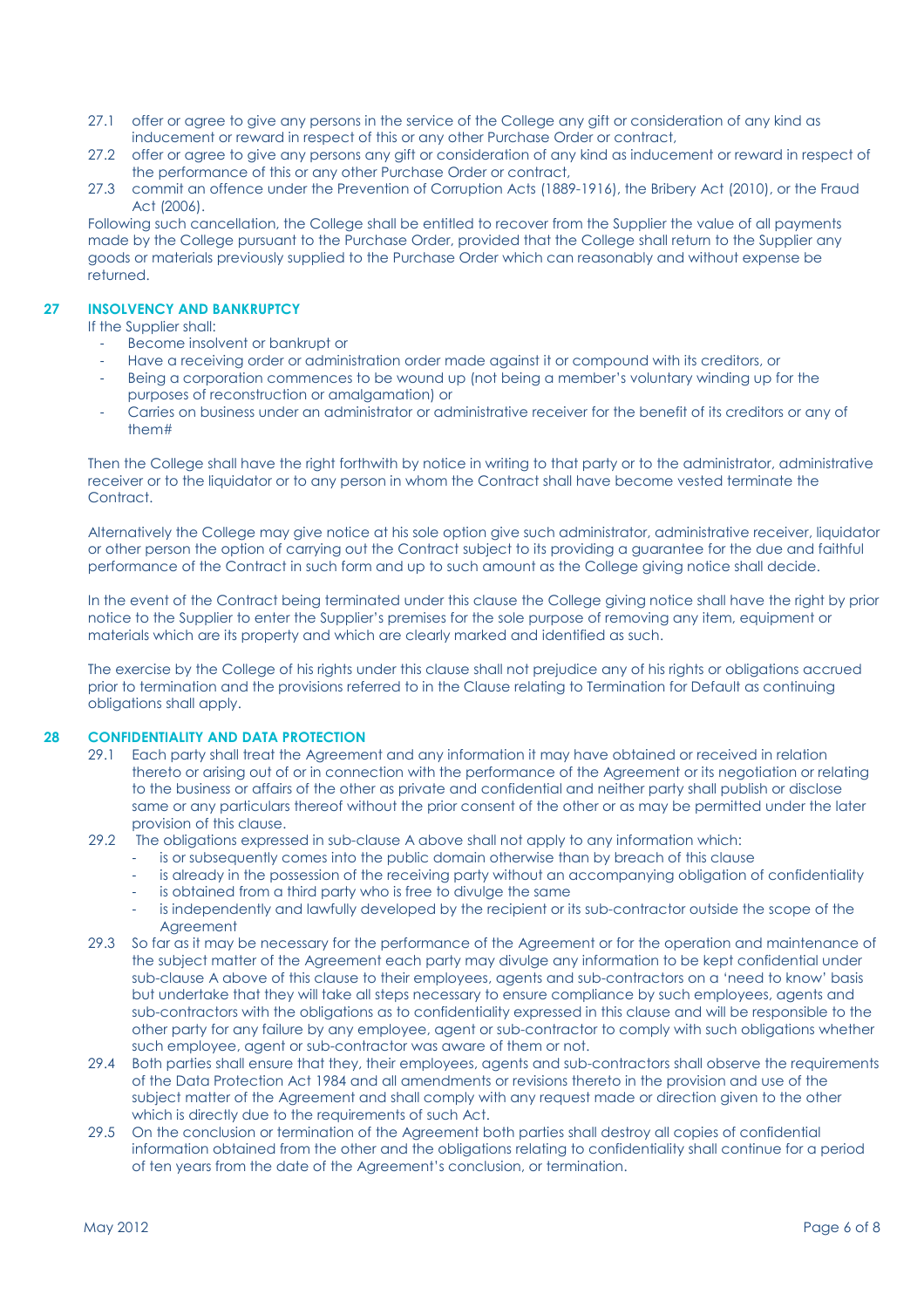- 27.1 offer or agree to give any persons in the service of the College any gift or consideration of any kind as inducement or reward in respect of this or any other Purchase Order or contract,
- 27.2 offer or agree to give any persons any gift or consideration of any kind as inducement or reward in respect of the performance of this or any other Purchase Order or contract,
- 27.3 commit an offence under the Prevention of Corruption Acts (1889-1916), the Bribery Act (2010), or the Fraud Act (2006).

 Following such cancellation, the College shall be entitled to recover from the Supplier the value of all payments made by the College pursuant to the Purchase Order, provided that the College shall return to the Supplier any goods or materials previously supplied to the Purchase Order which can reasonably and without expense be returned.

# 27 INSOLVENCY AND BANKRUPTCY

If the Supplier shall:

- Become insolvent or bankrupt or
- Have a receiving order or administration order made against it or compound with its creditors, or
- Being a corporation commences to be wound up (not being a member's voluntary winding up for the purposes of reconstruction or amalgamation) or
- Carries on business under an administrator or administrative receiver for the benefit of its creditors or any of them#

 Then the College shall have the right forthwith by notice in writing to that party or to the administrator, administrative receiver or to the liquidator or to any person in whom the Contract shall have become vested terminate the Contract.

 Alternatively the College may give notice at his sole option give such administrator, administrative receiver, liquidator or other person the option of carrying out the Contract subject to its providing a guarantee for the due and faithful performance of the Contract in such form and up to such amount as the College giving notice shall decide.

 In the event of the Contract being terminated under this clause the College giving notice shall have the right by prior notice to the Supplier to enter the Supplier's premises for the sole purpose of removing any item, equipment or materials which are its property and which are clearly marked and identified as such.

 The exercise by the College of his rights under this clause shall not prejudice any of his rights or obligations accrued prior to termination and the provisions referred to in the Clause relating to Termination for Default as continuing obligations shall apply.

# 28 CONFIDENTIALITY AND DATA PROTECTION

- 29.1 Each party shall treat the Agreement and any information it may have obtained or received in relation thereto or arising out of or in connection with the performance of the Agreement or its negotiation or relating to the business or affairs of the other as private and confidential and neither party shall publish or disclose same or any particulars thereof without the prior consent of the other or as may be permitted under the later provision of this clause.
- 29.2 The obligations expressed in sub-clause A above shall not apply to any information which:
	- is or subsequently comes into the public domain otherwise than by breach of this clause
	- is already in the possession of the receiving party without an accompanying obligation of confidentiality
	- is obtained from a third party who is free to divulge the same
	- is independently and lawfully developed by the recipient or its sub-contractor outside the scope of the Agreement
- 29.3 So far as it may be necessary for the performance of the Agreement or for the operation and maintenance of the subject matter of the Agreement each party may divulge any information to be kept confidential under sub-clause A above of this clause to their employees, agents and sub-contractors on a 'need to know' basis but undertake that they will take all steps necessary to ensure compliance by such employees, agents and sub-contractors with the obligations as to confidentiality expressed in this clause and will be responsible to the other party for any failure by any employee, agent or sub-contractor to comply with such obligations whether such employee, agent or sub-contractor was aware of them or not.
- 29.4 Both parties shall ensure that they, their employees, agents and sub-contractors shall observe the requirements of the Data Protection Act 1984 and all amendments or revisions thereto in the provision and use of the subject matter of the Agreement and shall comply with any request made or direction given to the other which is directly due to the requirements of such Act.
- 29.5 On the conclusion or termination of the Agreement both parties shall destroy all copies of confidential information obtained from the other and the obligations relating to confidentiality shall continue for a period of ten years from the date of the Agreement's conclusion, or termination.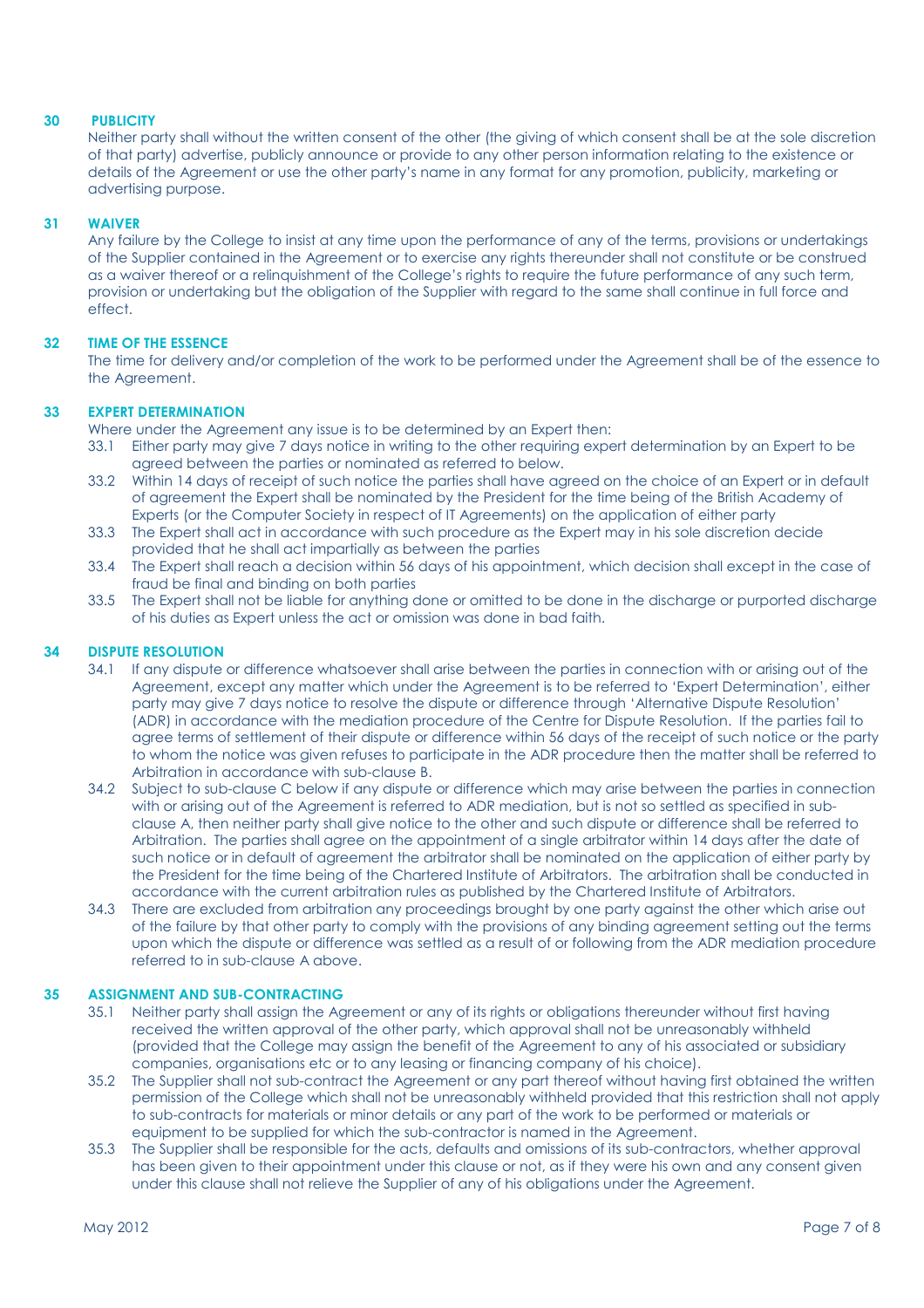# 30 PUBLICITY

 Neither party shall without the written consent of the other (the giving of which consent shall be at the sole discretion of that party) advertise, publicly announce or provide to any other person information relating to the existence or details of the Agreement or use the other party's name in any format for any promotion, publicity, marketing or advertising purpose.

# 31 WAIVER

 Any failure by the College to insist at any time upon the performance of any of the terms, provisions or undertakings of the Supplier contained in the Agreement or to exercise any rights thereunder shall not constitute or be construed as a waiver thereof or a relinquishment of the College's rights to require the future performance of any such term, provision or undertaking but the obligation of the Supplier with regard to the same shall continue in full force and effect.

# 32 TIME OF THE ESSENCE

 The time for delivery and/or completion of the work to be performed under the Agreement shall be of the essence to the Agreement.

# 33 EXPERT DETERMINATION

Where under the Agreement any issue is to be determined by an Expert then:

- 33.1 Either party may give 7 days notice in writing to the other requiring expert determination by an Expert to be agreed between the parties or nominated as referred to below.
- 33.2 Within 14 days of receipt of such notice the parties shall have agreed on the choice of an Expert or in default of agreement the Expert shall be nominated by the President for the time being of the British Academy of Experts (or the Computer Society in respect of IT Agreements) on the application of either party
- 33.3 The Expert shall act in accordance with such procedure as the Expert may in his sole discretion decide provided that he shall act impartially as between the parties
- 33.4 The Expert shall reach a decision within 56 days of his appointment, which decision shall except in the case of fraud be final and binding on both parties
- 33.5 The Expert shall not be liable for anything done or omitted to be done in the discharge or purported discharge of his duties as Expert unless the act or omission was done in bad faith.

# 34 DISPUTE RESOLUTION

- 34.1 If any dispute or difference whatsoever shall arise between the parties in connection with or arising out of the Agreement, except any matter which under the Agreement is to be referred to 'Expert Determination', either party may give 7 days notice to resolve the dispute or difference through 'Alternative Dispute Resolution' (ADR) in accordance with the mediation procedure of the Centre for Dispute Resolution. If the parties fail to agree terms of settlement of their dispute or difference within 56 days of the receipt of such notice or the party to whom the notice was given refuses to participate in the ADR procedure then the matter shall be referred to Arbitration in accordance with sub-clause B.
- 34.2 Subject to sub-clause C below if any dispute or difference which may arise between the parties in connection with or arising out of the Agreement is referred to ADR mediation, but is not so settled as specified in subclause A, then neither party shall give notice to the other and such dispute or difference shall be referred to Arbitration. The parties shall agree on the appointment of a single arbitrator within 14 days after the date of such notice or in default of agreement the arbitrator shall be nominated on the application of either party by the President for the time being of the Chartered Institute of Arbitrators. The arbitration shall be conducted in accordance with the current arbitration rules as published by the Chartered Institute of Arbitrators.
- 34.3 There are excluded from arbitration any proceedings brought by one party against the other which arise out of the failure by that other party to comply with the provisions of any binding agreement setting out the terms upon which the dispute or difference was settled as a result of or following from the ADR mediation procedure referred to in sub-clause A above.

# 35 ASSIGNMENT AND SUB-CONTRACTING

- 35.1 Neither party shall assign the Agreement or any of its rights or obligations thereunder without first having received the written approval of the other party, which approval shall not be unreasonably withheld (provided that the College may assign the benefit of the Agreement to any of his associated or subsidiary companies, organisations etc or to any leasing or financing company of his choice).
- 35.2 The Supplier shall not sub-contract the Agreement or any part thereof without having first obtained the written permission of the College which shall not be unreasonably withheld provided that this restriction shall not apply to sub-contracts for materials or minor details or any part of the work to be performed or materials or equipment to be supplied for which the sub-contractor is named in the Agreement.
- 35.3 The Supplier shall be responsible for the acts, defaults and omissions of its sub-contractors, whether approval has been given to their appointment under this clause or not, as if they were his own and any consent given under this clause shall not relieve the Supplier of any of his obligations under the Agreement.